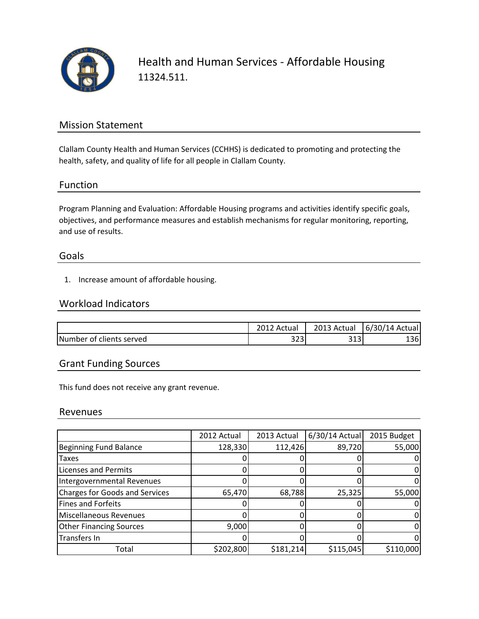

Health and Human Services - Affordable Housing 11324.511.

## Mission Statement

Clallam County Health and Human Services (CCHHS) is dedicated to promoting and protecting the health, safety, and quality of life for all people in Clallam County.

### Function

Program Planning and Evaluation: Affordable Housing programs and activities identify specific goals, objectives, and performance measures and establish mechanisms for regular monitoring, reporting, and use of results.

#### Goals

1. Increase amount of affordable housing.

### Workload Indicators

|                          | Actual     | 2013 Actual   | 6/30/14 Actual |
|--------------------------|------------|---------------|----------------|
| Number of clients served | ີ<br>ر ے ر | า 4 า<br>ر ⊥ر | 1361           |

## Grant Funding Sources

This fund does not receive any grant revenue.

#### Revenues

|                                       | 2012 Actual | 2013 Actual | $6/30/14$ Actual | 2015 Budget |
|---------------------------------------|-------------|-------------|------------------|-------------|
| <b>Beginning Fund Balance</b>         | 128,330     | 112,426     | 89,720           | 55,000      |
| <b>Taxes</b>                          |             |             |                  |             |
| <b>Licenses and Permits</b>           |             |             |                  |             |
| Intergovernmental Revenues            |             |             |                  |             |
| <b>Charges for Goods and Services</b> | 65,470      | 68,788      | 25,325           | 55,000      |
| <b>Fines and Forfeits</b>             |             |             |                  |             |
| Miscellaneous Revenues                |             |             |                  |             |
| <b>Other Financing Sources</b>        | 9,000       |             |                  |             |
| Transfers In                          |             |             |                  |             |
| Total                                 | \$202,800   | \$181,214   | \$115,045        | \$110,000   |